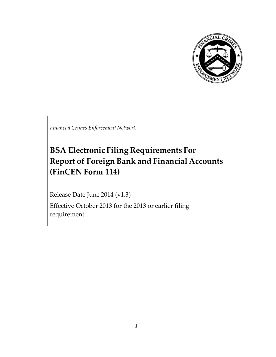

*Financial Crimes Enforcement Network*

# **BSA Electronic Filing Requirements For Report of Foreign Bank and Financial Accounts (FinCEN Form 114)**

Release Date June 2014 (v1.3)

Effective October 2013 for the 2013 or earlier filing requirement.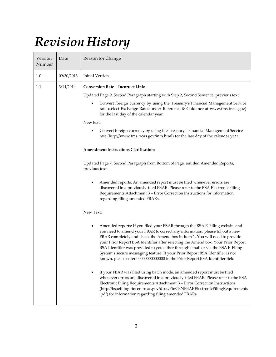# *Revision History*

| Version<br>Number | Date       | Reason for Change                                                                                                                                                                                                                                                                                                                                                                                                                                                                                                                                                                     |
|-------------------|------------|---------------------------------------------------------------------------------------------------------------------------------------------------------------------------------------------------------------------------------------------------------------------------------------------------------------------------------------------------------------------------------------------------------------------------------------------------------------------------------------------------------------------------------------------------------------------------------------|
| 1.0               | 09/30/2013 | <b>Initial Version</b>                                                                                                                                                                                                                                                                                                                                                                                                                                                                                                                                                                |
| 1.1               | 3/14/2014  | <b>Conversion Rate – Incorrect Link:</b>                                                                                                                                                                                                                                                                                                                                                                                                                                                                                                                                              |
|                   |            | Updated Page 9, Second Paragraph starting with Step 2, Second Sentence, previous text:                                                                                                                                                                                                                                                                                                                                                                                                                                                                                                |
|                   |            | Convert foreign currency by using the Treasury's Financial Management Service<br>rate (select Exchange Rates under Reference & Guidance at www.fms.treas.gov)<br>for the last day of the calendar year.                                                                                                                                                                                                                                                                                                                                                                               |
|                   |            | New text:                                                                                                                                                                                                                                                                                                                                                                                                                                                                                                                                                                             |
|                   |            | Convert foreign currency by using the Treasury's Financial Management Service<br>rate (http://www.fms.treas.gov/intn.html) for the last day of the calendar year.                                                                                                                                                                                                                                                                                                                                                                                                                     |
|                   |            | <b>Amendment Instructions Clarification:</b>                                                                                                                                                                                                                                                                                                                                                                                                                                                                                                                                          |
|                   |            | Updated Page 7, Second Paragraph from Bottom of Page, entitled Amended Reports,<br>previous text:                                                                                                                                                                                                                                                                                                                                                                                                                                                                                     |
|                   |            | Amended reports: An amended report must be filed whenever errors are<br>discovered in a previously-filed FBAR. Please refer to the BSA Electronic Filing<br>Requirements Attachment B - Error Correction Instructions for information<br>regarding filing amended FBARs.                                                                                                                                                                                                                                                                                                              |
|                   |            | New Text:                                                                                                                                                                                                                                                                                                                                                                                                                                                                                                                                                                             |
|                   |            | Amended reports: If you filed your FBAR through the BSA E-Filing website and<br>you need to amend your FBAR to correct any information, please fill out a new<br>FBAR completely and check the Amend box in Item 1. You will need to provide<br>your Prior Report BSA Identifier after selecting the Amend box. Your Prior Report<br>BSA Identifier was provided to you either through email or via the BSA E-Filing<br>System's secure messaging feature. If your Prior Report BSA Identifier is not<br>known, please enter 00000000000000 in the Prior Report BSA Identifier field. |
|                   |            | If your FBAR was filed using batch mode, an amended report must be filed<br>whenever errors are discovered in a previously-filed FBAR. Please refer to the BSA<br>Electronic Filing Requirements Attachment B - Error Correction Instructions<br>(http://bsaefiling.fincen.treas.gov/docs/FinCENFBARElectronicFilingRequirements<br>.pdf) for information regarding filing amended FBARs.                                                                                                                                                                                             |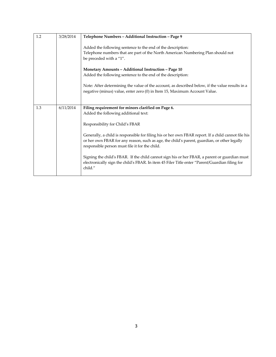| 1.2 | 3/28/2014 | Telephone Numbers - Additional Instruction - Page 9                                                                                                                                                                                                  |
|-----|-----------|------------------------------------------------------------------------------------------------------------------------------------------------------------------------------------------------------------------------------------------------------|
|     |           | Added the following sentence to the end of the description:<br>Telephone numbers that are part of the North American Numbering Plan should not<br>be preceded with a "1".                                                                            |
|     |           | Monetary Amounts - Additional Instruction - Page 10<br>Added the following sentence to the end of the description:                                                                                                                                   |
|     |           | Note: After determining the value of the account, as described below, if the value results in a<br>negative (minus) value, enter zero (0) in Item 15, Maximum Account Value.                                                                         |
|     |           |                                                                                                                                                                                                                                                      |
| 1.3 | 6/11/2014 | Filing requirement for minors clarified on Page 6.                                                                                                                                                                                                   |
|     |           | Added the following additional text:                                                                                                                                                                                                                 |
|     |           | Responsibility for Child's FBAR                                                                                                                                                                                                                      |
|     |           | Generally, a child is responsible for filing his or her own FBAR report. If a child cannot file his<br>or her own FBAR for any reason, such as age, the child's parent, guardian, or other legally<br>responsible person must file it for the child. |
|     |           |                                                                                                                                                                                                                                                      |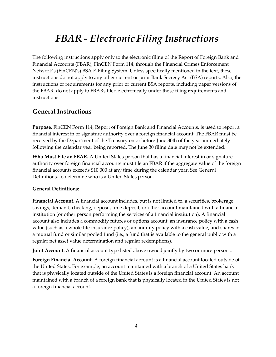# *FBAR - Electronic Filing Instructions*

The following instructions apply only to the electronic filing of the Report of Foreign Bank and Financial Accounts (FBAR), FinCEN Form 114, through the Financial Crimes Enforcement Network's (FinCEN's) BSA E-Filing System. Unless specifically mentioned in the text, these instructions do not apply to any other current or prior Bank Secrecy Act (BSA) reports. Also, the instructions or requirements for any prior or current BSA reports, including paper versions of the FBAR, do not apply to FBARs filed electronically under these filing requirements and instructions.

## **General Instructions**

**Purpose.** FinCEN Form 114, Report of Foreign Bank and Financial Accounts, is used to report a financial interest in or signature authority over a foreign financial account. The FBAR must be received by the Department of the Treasury on or before June 30th of the year immediately following the calendar year being reported. The June 30 filing date may not be extended.

**Who Must File an FBAR.** A United States person that has a financial interest in or signature authority over foreign financial accounts must file an FBAR if the aggregate value of the foreign financial accounts exceeds \$10,000 at any time during the calendar year. See General Definitions, to determine who is a United States person.

#### **General Definitions:**

**Financial Account.** A financial account includes, but is not limited to, a securities, brokerage, savings, demand, checking, deposit, time deposit, or other account maintained with a financial institution (or other person performing the services of a financial institution). A financial account also includes a commodity futures or options account, an insurance policy with a cash value (such as a whole life insurance policy), an annuity policy with a cash value, and shares in a mutual fund or similar pooled fund (i.e., a fund that is available to the general public with a regular net asset value determination and regular redemptions).

**Joint Account.** A financial account type listed above owned jointly by two or more persons.

**Foreign Financial Account.** A foreign financial account is a financial account located outside of the United States. For example, an account maintained with a branch of a United States bank that is physically located outside of the United States is a foreign financial account. An account maintained with a branch of a foreign bank that is physically located in the United States is not a foreign financial account.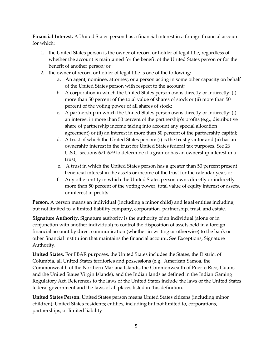**Financial Interest.** A United States person has a financial interest in a foreign financial account for which:

- 1. the United States person is the owner of record or holder of legal title, regardless of whether the account is maintained for the benefit of the United States person or for the benefit of another person; or
- 2. the owner of record or holder of legal title is one of the following:
	- a. An agent, nominee, attorney, or a person acting in some other capacity on behalf of the United States person with respect to the account;
	- b. A corporation in which the United States person owns directly or indirectly: (i) more than 50 percent of the total value of shares of stock or (ii) more than 50 percent of the voting power of all shares of stock;
	- c. A partnership in which the United States person owns directly or indirectly: (i) an interest in more than 50 percent of the partnership's profits (e.g., distributive share of partnership income taking into account any special allocation agreement) or (ii) an interest in more than 50 percent of the partnership capital;
	- d. A trust of which the United States person: (i) is the trust grantor and (ii) has an ownership interest in the trust for United States federal tax purposes. See 26 U.S.C. sections 671-679 to determine if a grantor has an ownership interest in a trust;
	- e. A trust in which the United States person has a greater than 50 percent present beneficial interest in the assets or income of the trust for the calendar year; or
	- f. Any other entity in which the United States person owns directly or indirectly more than 50 percent of the voting power, total value of equity interest or assets, or interest in profits.

**Person.** A person means an individual (including a minor child) and legal entities including, but not limited to, a limited liability company, corporation, partnership, trust, and estate.

**Signature Authority.** Signature authority is the authority of an individual (alone or in conjunction with another individual) to control the disposition of assets held in a foreign financial account by direct communication (whether in writing or otherwise) to the bank or other financial institution that maintains the financial account. See Exceptions, Signature Authority.

**United States.** For FBAR purposes, the United States includes the States, the District of Columbia, all United States territories and possessions (e.g., American Samoa, the Commonwealth of the Northern Mariana Islands, the Commonwealth of Puerto Rico, Guam, and the United States Virgin Islands), and the Indian lands as defined in the Indian Gaming Regulatory Act. References to the laws of the United States include the laws of the United States federal government and the laws of all places listed in this definition.

**United States Person.** United States person means United States citizens (including minor children); United States residents; entities, including but not limited to, corporations, partnerships, or limited liability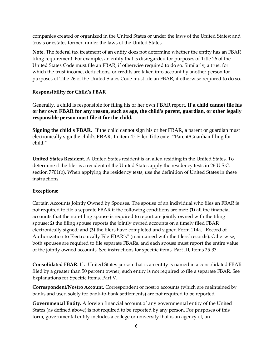companies created or organized in the United States or under the laws of the United States; and trusts or estates formed under the laws of the United States.

**Note.** The federal tax treatment of an entity does not determine whether the entity has an FBAR filing requirement. For example, an entity that is disregarded for purposes of Title 26 of the United States Code must file an FBAR, if otherwise required to do so. Similarly, a trust for which the trust income, deductions, or credits are taken into account by another person for purposes of Title 26 of the United States Code must file an FBAR, if otherwise required to do so.

#### **Responsibility for Child's FBAR**

Generally, a child is responsible for filing his or her own FBAR report. **If a child cannot file his or her own FBAR for any reason, such as age, the child's parent, guardian, or other legally responsible person must file it for the child.**

**Signing the child's FBAR.** If the child cannot sign his or her FBAR, a parent or guardian must electronically sign the child's FBAR. In item 45 Filer Title enter "Parent/Guardian filing for child."

**United States Resident.** A United States resident is an alien residing in the United States. To determine if the filer is a resident of the United States apply the residency tests in 26 U.S.C. section 7701(b). When applying the residency tests, use the definition of United States in these instructions.

#### **Exceptions:**

Certain Accounts Jointly Owned by Spouses. The spouse of an individual who files an FBAR is not required to file a separate FBAR if the following conditions are met: **(1)** all the financial accounts that the non-filing spouse is required to report are jointly owned with the filing spouse; **2)** the filing spouse reports the jointly owned accounts on a timely filed FBAR electronically signed; and **(3)** the filers have completed and signed Form 114a, "Record of Authorization to Electronically File FBAR's" (maintained with the filers' records). Otherwise, both spouses are required to file separate FBARs, and each spouse must report the entire value of the jointly owned accounts. See instructions for specific items, Part III, Items 25-33.

**Consolidated FBAR.** If a United States person that is an entity is named in a consolidated FBAR filed by a greater than 50 percent owner, such entity is not required to file a separate FBAR. See Explanations for Specific Items, Part V.

**Correspondent/Nostro Account.** Correspondent or nostro accounts (which are maintained by banks and used solely for bank-to-bank settlements) are not required to be reported.

**Governmental Entity.** A foreign financial account of any governmental entity of the United States (as defined above) is not required to be reported by any person. For purposes of this form, governmental entity includes a college or university that is an agency of, an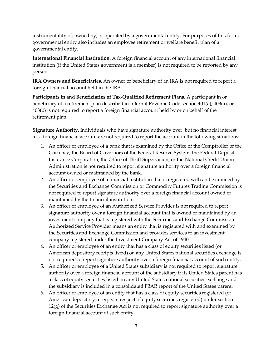instrumentality of, owned by, or operated by a governmental entity. For purposes of this form, governmental entity also includes an employee retirement or welfare benefit plan of a governmental entity.

**International Financial Institution.** A foreign financial account of any international financial institution (if the United States government is a member) is not required to be reported by any person.

**IRA Owners and Beneficiaries.** An owner or beneficiary of an IRA is not required to report a foreign financial account held in the IRA.

**Participants in and Beneficiaries of Tax-Qualified Retirement Plans.** A participant in or beneficiary of a retirement plan described in Internal Revenue Code section 401(a), 403(a), or 403(b) is not required to report a foreign financial account held by or on behalf of the retirement plan.

**Signature Authority.** Individuals who have signature authority over, but no financial interest in, a foreign financial account are not required to report the account in the following situations:

- 1. An officer or employee of a bank that is examined by the Office of the Comptroller of the Currency, the Board of Governors of the Federal Reserve System, the Federal Deposit Insurance Corporation, the Office of Thrift Supervision, or the National Credit Union Administration is not required to report signature authority over a foreign financial account owned or maintained by the bank.
- 2. An officer or employee of a financial institution that is registered with and examined by the Securities and Exchange Commission or Commodity Futures Trading Commission is not required to report signature authority over a foreign financial account owned or maintained by the financial institution.
- 3. An officer or employee of an Authorized Service Provider is not required to report signature authority over a foreign financial account that is owned or maintained by an investment company that is registered with the Securities and Exchange Commission. Authorized Service Provider means an entity that is registered with and examined by the Securities and Exchange Commission and provides services to an investment company registered under the Investment Company Act of 1940.
- 4. An officer or employee of an entity that has a class of equity securities listed (or American depository receipts listed) on any United States national securities exchange is not required to report signature authority over a foreign financial account of such entity.
- 5. An officer or employee of a United States subsidiary is not required to report signature authority over a foreign financial account of the subsidiary if its United States parent has a class of equity securities listed on any United States national securities exchange and the subsidiary is included in a consolidated FBAR report of the United States parent.
- 6. An officer or employee of an entity that has a class of equity securities registered (or American depository receipts in respect of equity securities registered) under section 12(g) of the Securities Exchange Act is not required to report signature authority over a foreign financial account of such entity.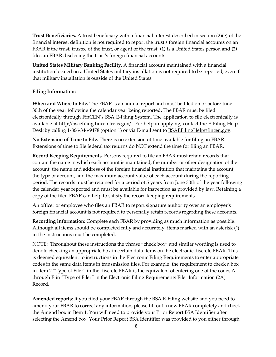**Trust Beneficiaries.** A trust beneficiary with a financial interest described in section (2)(e) of the financial interest definition is not required to report the trust's foreign financial accounts on an FBAR if the trust, trustee of the trust, or agent of the trust: **(1)** is a United States person and **(2)**  files an FBAR disclosing the trust's foreign financial accounts.

**United States Military Banking Facility.** A financial account maintained with a financial institution located on a United States military installation is not required to be reported, even if that military installation is outside of the United States.

#### **Filing Information:**

**When and Where to File.** The FBAR is an annual report and must be filed on or before June 30th of the year following the calendar year being reported. The FBAR must be filed electronically through FinCEN's BSA E-Filing System. The application to file electronically is available at [http://bsaefiling.fincen.treas.gov/](http://bsaefiling.fincen.treas.gov/main.html). For help in applying, contact the E-Filing Help Desk by calling 1-866-346-9478 (option 1) or via E-mail sent to **BSAEFilingHelp@fincen.gov**.

**No Extension of Time to File.** There is no extension of time available for filing an FBAR. Extensions of time to file federal tax returns do NOT extend the time for filing an FBAR.

**Record Keeping Requirements.** Persons required to file an FBAR must retain records that contain the name in which each account is maintained, the number or other designation of the account, the name and address of the foreign financial institution that maintains the account, the type of account, and the maximum account value of each account during the reporting period. The records must be retained for a period of 5 years from June 30th of the year following the calendar year reported and must be available for inspection as provided by law. Retaining a copy of the filed FBAR can help to satisfy the record keeping requirements.

An officer or employee who files an FBAR to report signature authority over an employer's foreign financial account is not required to personally retain records regarding these accounts.

**Recording information:** Complete each FBAR by providing as much information as possible. Although all items should be completed fully and accurately, items marked with an asterisk (\*) in the instructions must be completed.

NOTE: Throughout these instructions the phrase "check box" and similar wording is used to denote checking an appropriate box in certain data items on the electronic discrete FBAR. This is deemed equivalent to instructions in the Electronic Filing Requirements to enter appropriate codes in the same data items in transmission files. For example, the requirement to check a box in Item 2 "Type of Filer" in the discrete FBAR is the equivalent of entering one of the codes A through E in "Type of Filer" in the Electronic Filing Requirements Filer Information (2A) Record.

**Amended reports**: If you filed your FBAR through the BSA E-Filing website and you need to amend your FBAR to correct any information, please fill out a new FBAR completely and check the Amend box in Item 1. You will need to provide your Prior Report BSA Identifier after selecting the Amend box. Your Prior Report BSA Identifier was provided to you either through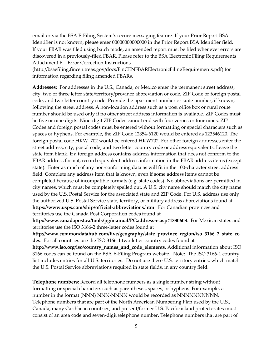email or via the BSA E-Filing System's secure messaging feature. If your Prior Report BSA Identifier is not known, please enter 00000000000000 in the Prior Report BSA Identifier field. If your FBAR was filed using batch mode, an amended report must be filed whenever errors are discovered in a previously-filed FBAR. Please refer to the BSA Electronic Filing Requirements Attachment B – Error Correction Instructions

[\(http://bsaefiling.fincen.treas.gov/docs/FinCENFBARElectronicFilingRequirements.pdf\)](http://bsaefiling.fincen.treas.gov/docs/FinCENFBARElectronicFilingRequirements.pdf) for information regarding filing amended FBARs.

**Addresses:** For addresses in the U.S., Canada, or Mexico enter the permanent street address, city, two or three letter state/territory/province abbreviation or code, ZIP Code or foreign postal code, and two letter country code. Provide the apartment number or suite number, if known, following the street address. A non-location address such as a post office box or rural route number should be used only if no other street address information is available. ZIP Codes must be five or nine digits. Nine-digit ZIP Codes cannot end with four zeroes or four nines. ZIP Codes and foreign postal codes must be entered without formatting or special characters such as spaces or hyphens. For example, the ZIP Code 12354-6120 would be entered as 123546120. The foreign postal code HKW 702 would be entered HKW702. For other foreign addresses enter the street address, city, postal code, and two letter country code or address equivalents. Leave the state item blank. If a foreign address contains address information that does not conform to the FBAR address format, record equivalent address information in the FBAR address items (except state). Enter as much of any non-conforming data as will fit in the 100-character street address field. Complete any address item that is known, even if some address items cannot be completed because of incompatible formats (e.g. state codes). No abbreviations are permitted in city names, which must be completely spelled out. A U.S. city name should match the city name used by the U.S. Postal Service for the associated state and ZIP Code. For U.S. address use only the authorized U.S. Postal Service state, territory, or military address abbreviations found at **https:[//www.usps.com/ship/official-abbreviations.htm](http://www.usps.com/ship/official-abbreviations.htm)**. For Canadian provinces and territories use the Canada Post Corporation codes found at

**<http://www.canadapost.ca/tools/pg/manual/PGaddress-e.asp#1380608>**. For Mexican states and territories use the ISO 3166-2 three-letter codes found at

**[http://www.commondatahub.com/live/geography/state\\_province\\_region/iso\\_3166\\_2\\_state\\_co](http://www.commondatahub.com/live/geography/state_province_region/iso_3166_2_state_co) des**. For all countries use the ISO 3166-1 two-letter country codes found at

**[http://www.iso.org/iso/country\\_names\\_and\\_code\\_elements](http://www.iso.org/iso/country_names_and_code_elements)**. Additional information about ISO 3166 codes can be found on the BSA E-Filing Program website. Note: The ISO 3166-1 country list includes entries for all U.S. territories. Do not use these U.S. territory entries, which match the U.S. Postal Service abbreviations required in state fields, in any country field.

**Telephone numbers:** Record all telephone numbers as a single number string without formatting or special characters such as parentheses, spaces, or hyphens. For example, a number in the format (NNN) NNN-NNNN would be recorded as NNNNNNNNNN. Telephone numbers that are part of the North American Numbering Plan used by the U.S., Canada, many Caribbean countries, and present/former U.S. Pacific island protectorates must consist of an area code and seven-digit telephone number. Telephone numbers that are part of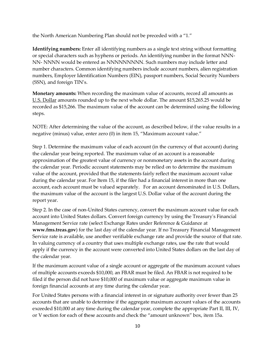the North American Numbering Plan should not be preceded with a "1."

**Identifying numbers:** Enter all identifying numbers as a single text string without formatting or special characters such as hyphens or periods. An identifying number in the format NNN-NN- NNNN would be entered as NNNNNNNNN. Such numbers may include letter and number characters. Common identifying numbers include account numbers, alien registration numbers, Employer Identification Numbers (EIN), passport numbers, Social Security Numbers (SSN), and foreign TIN's.

**Monetary amounts:** When recording the maximum value of accounts, record all amounts as U.S. Dollar amounts rounded up to the next whole dollar. The amount \$15,265.25 would be recorded as \$15,266. The maximum value of the account can be determined using the following steps.

NOTE: After determining the value of the account, as described below, if the value results in a negative (minus) value, enter zero (0) in item 15, "Maximum account value."

Step 1. Determine the maximum value of each account (in the currency of that account) during the calendar year being reported. The maximum value of an account is a reasonable approximation of the greatest value of currency or nonmonetary assets in the account during the calendar year. Periodic account statements may be relied on to determine the maximum value of the account, provided that the statements fairly reflect the maximum account value during the calendar year. For Item 15, if the filer had a financial interest in more than one account, each account must be valued separately. For an account denominated in U.S. Dollars, the maximum value of the account is the largest U.S. Dollar value of the account during the report year.

Step 2. In the case of non-United States currency, convert the maximum account value for each account into United States dollars. Convert foreign currency by using the Treasury's Financial Management Service rate (select Exchange Rates under Reference & Guidance at **www.fms.treas.gov**) for the last day of the calendar year. If no Treasury Financial Management Service rate is available, use another verifiable exchange rate and provide the source of that rate. In valuing currency of a country that uses multiple exchange rates, use the rate that would apply if the currency in the account were converted into United States dollars on the last day of the calendar year.

If the maximum account value of a single account or aggregate of the maximum account values of multiple accounts exceeds \$10,000, an FBAR must be filed. An FBAR is not required to be filed if the person did not have \$10,000 of maximum value or aggregate maximum value in foreign financial accounts at any time during the calendar year.

For United States persons with a financial interest in or signature authority over fewer than 25 accounts that are unable to determine if the aggregate maximum account values of the accounts exceeded \$10,000 at any time during the calendar year, complete the appropriate Part II, III, IV, or V section for each of these accounts and check the "amount unknown" box, item 15a.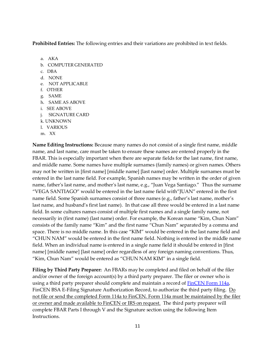**Prohibited Entries:** The following entries and their variations are prohibited in text fields.

- a. AKA
- b. COMPUTER GENERATED
- c. DBA
- d. NONE
- e. NOT APPLICABLE
- f. OTHER
- g. SAME
- h. SAME AS ABOVE
- i. SEE ABOVE
- j. SIGNATURE CARD
- k. UNKNOWN
- l. VARIOUS
- m. XX

**Name Editing Instructions:** Because many names do not consist of a single first name, middle name, and last name, care must be taken to ensure these names are entered properly in the FBAR. This is especially important when there are separate fields for the last name, first name, and middle name. Some names have multiple surnames (family names) or given names. Others may not be written in [first name] [middle name] [last name] order. Multiple surnames must be entered in the last name field. For example, Spanish names may be written in the order of given name, father's last name, and mother's last name, e.g., "Juan Vega Santiago." Thus the surname "VEGA SANTIAGO" would be entered in the last name field with"JUAN" entered in the first name field. Some Spanish surnames consist of three names (e.g., father's last name, mother's last name, and husband's first last name). In that case all three would be entered in a last name field. In some cultures names consist of multiple first names and a single family name, not necessarily in (first name) (last name) order. For example, the Korean name "Kim, Chun Nam" consists of the family name "Kim" and the first name "Chun Nam" separated by a comma and space. There is no middle name. In this case "KIM" would be entered in the last name field and "CHUN NAM" would be entered in the first name field. Nothing is entered in the middle name field. When an individual name is entered in a single name field it should be entered in [first name] [middle name] [last name] order regardless of any foreign naming conventions. Thus, "Kim, Chun Nam" would be entered as "CHUN NAM KIM" in a single field.

**Filing by Third Party Preparer:** An FBARs may be completed and filed on behalf of the filer and/or owner of the foreign account(s) by a third party preparer. The filer or owner who is using a third party preparer should complete and maintain a record of **FinCEN Form 114a**, FinCEN BSA E-Filing Signature Authorization Record, to authorize the third party filing. Do not file or send the completed Form 114a to FinCEN. Form 114a must be maintained by the filer or owner and made available to FinCEN or IRS on request. The third party preparer will complete FBAR Parts I through V and the Signature section using the following Item Instructions.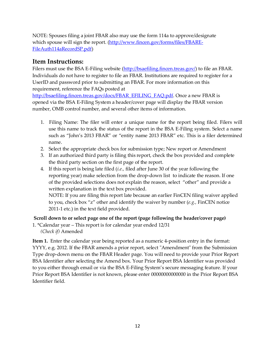NOTE: Spouses filing a joint FBAR also may use the form 114a to approve/designate which spouse will sign the report. [\(http://www.fincen.gov/forms/files/FBARE-](https://www.fincen.gov/forms/files/FBARE-FileAuth114aRecordSP.pdf)[FileAuth114aRecordSP.pdf\)](https://www.fincen.gov/forms/files/FBARE-FileAuth114aRecordSP.pdf)

# **Item Instructions:**

Filers must use the BSA E-Filing website [\(http://bsaefiling.fincen.treas.gov/\)](http://bsaefiling.fincen.treas.gov/main.html) to file an FBAR. Individuals do not have to register to file an FBAR. Institutions are required to register for a UserID and password prior to submitting an FBAR. For more information on this requirement, reference the FAQs posted at

[http://bsaefiling.fincen.treas.gov/docs/FBAR\\_EFILING\\_FAQ.pdf.](http://bsaefiling.fincen.treas.gov/docs/FBAR_EFILING_FAQ.pdf) Once a new FBAR is opened via the BSA E-Filing System a header/cover page will display the FBAR version number, OMB control number, and several other items of information.

- 1. Filing Name: The filer will enter a unique name for the report being filed. Filers will use this name to track the status of the report in the BSA E-Filing system. Select a name such as "John's 2013 FBAR" or "entity name 2013 FBAR" etc. This is a filer determined name.
- 2. Select the appropriate check box for submission type; New report or Amendment
- 3. If an authorized third party is filing this report, check the box provided and complete the third party section on the first page of the report.
- 4. If this report is being late filed (*i.e.,* filed after June 30 of the year following the reporting year) make selection from the drop-down list to indicate the reason. If one of the provided selections does not explain the reason, select "other" and provide a written explanation in the text box provided.

NOTE: If you are filing this report late because an earlier FinCEN filing waiver applied to you, check box "z" other and identify the waiver by number (*e.g.,* FinCEN notice 2011-1 etc.) in the text field provided.

## **Scroll down to or select page one of the report (page following the header/cover page)**

1. \*Calendar year – This report is for calendar year ended 12/31 *(Check if)* Amended

**Item 1.** Enter the calendar year being reported as a numeric 4-position entry in the format: YYYY, e.g. 2012. If the FBAR amends a prior report, select "Amendment" from the Submission Type drop-down menu on the FBAR Header page. You will need to provide your Prior Report BSA Identifier after selecting the Amend box. Your Prior Report BSA Identifier was provided to you either through email or via the BSA E-Filing System's secure messaging feature. If your Prior Report BSA Identifier is not known, please enter 00000000000000 in the Prior Report BSA Identifier field.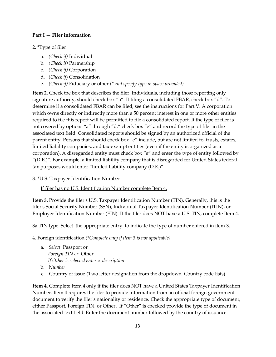#### **Part I — Filer information**

#### 2. \*Type of filer

- a. *(Check if)* Individual
- b. *(Check if)* Partnership
- c. *(Check if)* Corporation
- d. (*Check if*) Consolidation
- e. *(Check if)* Fiduciary or other *(\* and specify type in space provided)*

**Item 2.** Check the box that describes the filer. Individuals, including those reporting only signature authority, should check box "a". If filing a consolidated FBAR, check box "d". To determine if a consolidated FBAR can be filed, see the instructions for Part V. A corporation which owns directly or indirectly more than a 50 percent interest in one or more other entities required to file this report will be permitted to file a consolidated report. If the type of filer is not covered by options "a" through "d," check box "e" and record the type of filer in the associated text field. Consolidated reports should be signed by an authorized official of the parent entity. Persons that should check box "e" include, but are not limited to, trusts, estates, limited liability companies, and tax-exempt entities (even if the entity is organized as a corporation). A disregarded entity must check box "e" and enter the type of entity followed by "(D.E.)". For example, a limited liability company that is disregarded for United States federal tax purposes would enter "limited liability company (D.E.)".

3. \*U.S. Taxpayer Identification Number

If filer has no U.S. Identification Number complete Item 4.

**Item 3.** Provide the filer's U.S. Taxpayer Identification Number (TIN). Generally, this is the filer's Social Security Number (SSN), Individual Taxpayer Identification Number (ITIN), or Employer Identification Number (EIN). If the filer does NOT have a U.S. TIN, complete Item 4.

3a TIN type. Select the appropriate entry to indicate the type of number entered in item 3.

4. Foreign identification *(\*Complete only if item 3 is not applicable)*

- a. *Select* Passport or *Foreign TIN or* Other *If Other is selected enter a description*
- b. *Number*
- c. Country of issue (Two letter designation from the dropdown Country code lists)

**Item 4.** Complete Item 4 only if the filer does NOT have a United States Taxpayer Identification Number. Item 4 requires the filer to provide information from an official foreign government document to verify the filer's nationality or residence. Check the appropriate type of document, either Passport, Foreign TIN, or Other. If "Other" is checked provide the type of document in the associated text field. Enter the document number followed by the country of issuance.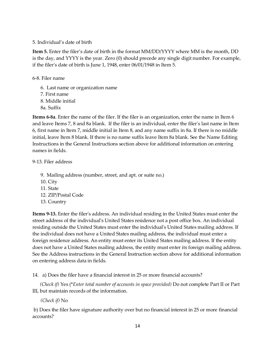#### 5. Individual's date of birth

**Item 5.** Enter the filer's date of birth in the format MM/DD/YYYY where MM is the month, DD is the day, and YYYY is the year. Zero (0) should precede any single digit number. For example, if the filer's date of birth is June 1, 1948, enter 06/01/1948 in Item 5.

#### 6-8. Filer name

6. Last name or organization name 7. First name 8. Middle initial 8a. Suffix

**Items 6-8a**. Enter the name of the filer. If the filer is an organization, enter the name in Item 6 and leave Items 7, 8 and 8a blank. If the filer is an individual, enter the filer's last name in Item 6, first name in Item 7, middle initial in Item 8, and any name suffix in 8a. If there is no middle initial, leave Item 8 blank. If there is no name suffix leave Item 8a blank. See the Name Editing Instructions in the General Instructions section above for additional information on entering names in fields.

9-13. Filer address

- 9. Mailing address (number, street, and apt. or suite no.)
- 10. City
- 11. State
- 12. ZIP/Postal Code
- 13. Country

**Items 9-13.** Enter the filer's address. An individual residing in the United States must enter the street address of the individual's United States residence not a post office box. An individual residing outside the United States must enter the individual's United States mailing address. If the individual does not have a United States mailing address, the individual must enter a foreign residence address. An entity must enter its United States mailing address. If the entity does not have a United States mailing address, the entity must enter its foreign mailing address. See the Address instructions in the General Instruction section above for additional information on entering address data in fields.

14. a) Does the filer have a financial interest in 25 or more financial accounts?

*(Check if)* Yes (\**Enter total number of accounts in space provided)* Do not complete Part II or Part III, but maintain records of the information.

*(Check if)* No

b) Does the filer have signature authority over but no financial interest in 25 or more financial accounts?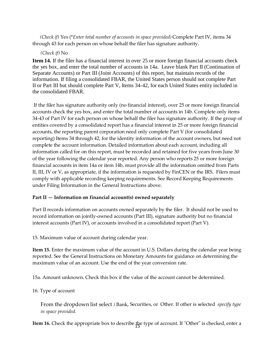*(Check if)* Yes (\**Enter total number of accounts in space provided)* Complete Part IV, items 34 through 43 for each person on whose behalf the filer has signature authority.

#### *(Check if)* No

**Item 14.** If the filer has a financial interest in over 25 or more foreign financial accounts check the yes box, and enter the total number of accounts in 14a. Leave blank Part II (Continuation of Separate Accounts) or Part III (Joint Accounts) of this report, but maintain records of the information. If filing a consolidated FBAR, the United States person should not complete Part II or Part III but should complete Part V, Items 34-42, for each United States entity included in the consolidated FBAR.

If the filer has signature authority only (no financial interest), over 25 or more foreign financial accounts check the yes box, and enter the total number of accounts in 14b. Complete only items 34-43 of Part IV for each person on whose behalf the filer has signature authority. If the group of entities covered by a consolidated report has a financial interest in 25 or more foreign financial accounts, the reporting parent corporation need only complete Part V (for consolidated reporting) Items 34 through 42, for the identity information of the account owners, but need not complete the account information. Detailed information about each account, including all information called for on this report, must be recorded and retained for five years from June 30 of the year following the calendar year reported. Any person who reports 25 or more foreign financial accounts in item 14a or item 14b, must provide all the information omitted from Parts II, III, IV or V, as appropriate, if the information is requested by FinCEN or the IRS. Filers must comply with applicable recording keeping requirements. See Record Keeping Requirements under Filing Information in the General Instructions above.

#### **Part II — Information on financial account(s) owned separately**

Part II records information on accounts owned separately by the filer. It should not be used to record information on jointly-owned accounts (Part III), signature authority but no financial interest accounts (Part IV), or accounts involved in a consolidated report (Part V).

15. Maximum value of account during calendar year.

**Item 15.** Enter the maximum value of the account in U.S. Dollars during the calendar year being reported. See the General Instructions on Monetary Amounts for guidance on determining the maximum value of an account. Use the end of the year conversion rate.

15a. Amount unknown. Check this box if the value of the account cannot be determined.

16. Type of account

From the dropdown list select *)* Bank, Securities, or Other. If other is selected *specify type in space provided.*

**Item 16.** Check the appropriate box to describe the type of account. If "Other" is checked, enter a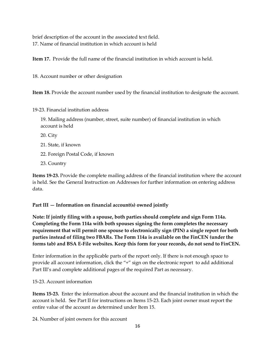brief description of the account in the associated text field. 17. Name of financial institution in which account is held

**Item 17.** Provide the full name of the financial institution in which account is held.

18. Account number or other designation

**Item 18.** Provide the account number used by the financial institution to designate the account.

19-23. Financial institution address

19. Mailing address (number, street, suite number) of financial institution in which account is held

20. City

- 21. State, if known
- 22. Foreign Postal Code, if known
- 23. Country

**Items 19-23.** Provide the complete mailing address of the financial institution where the account is held. See the General Instruction on Addresses for further information on entering address data.

#### **Part III — Information on financial account(s) owned jointly**

**Note: If jointly filing with a spouse, both parties should complete and sign Form 114a. Completing the Form 114a with both spouses signing the form completes the necessary requirement that will permit one spouse to electronically sign (PIN) a single report for both parties instead of filing two FBARs. The Form 114a is available on the FinCEN (under the forms tab) and BSA E-File websites. Keep this form for your records, do not send to FinCEN.**

Enter information in the applicable parts of the report only. If there is not enough space to provide all account information, click the "+" sign on the electronic report to add additional Part III's and complete additional pages of the required Part as necessary.

15-23. Account information

**Items 15-23.** Enter the information about the account and the financial institution in which the account is held. See Part II for instructions on Items 15-23. Each joint owner must report the entire value of the account as determined under Item 15.

24. Number of joint owners for this account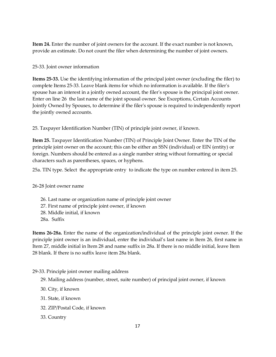**Item 24.** Enter the number of joint owners for the account. If the exact number is not known, provide an estimate. Do not count the filer when determining the number of joint owners.

25-33. Joint owner information

**Items 25-33.** Use the identifying information of the principal joint owner (excluding the filer) to complete Items 25-33. Leave blank items for which no information is available. If the filer's spouse has an interest in a jointly owned account, the filer's spouse is the principal joint owner. Enter on line 26 the last name of the joint spousal owner. See Exceptions, Certain Accounts Jointly Owned by Spouses, to determine if the filer's spouse is required to independently report the jointly owned accounts.

25. Taxpayer Identification Number (TIN) of principle joint owner, if known.

**Item 25.** Taxpayer Identification Number (TIN) of Principle Joint Owner. Enter the TIN of the principle joint owner on the account; this can be either an SSN (individual) or EIN (entity) or foreign. Numbers should be entered as a single number string without formatting or special characters such as parentheses, spaces, or hyphens.

25a. TIN type. Select the appropriate entry to indicate the type on number entered in item 25.

26-28 Joint owner name

26. Last name or organization name of principle joint owner 27. First name of principle joint owner, if known 28. Middle initial, if known 28a. Suffix

**Items 26-28a.** Enter the name of the organization/individual of the principle joint owner. If the principle joint owner is an individual, enter the individual's last name in Item 26, first name in Item 27, middle initial in Item 28 and name suffix in 28a. If there is no middle initial, leave Item 28 blank. If there is no suffix leave item 28a blank.

29-33. Principle joint owner mailing address

- 29. Mailing address (number, street, suite number) of principal joint owner, if known
- 30. City, if known
- 31. State, if known
- 32. ZIP/Postal Code, if known
- 33. Country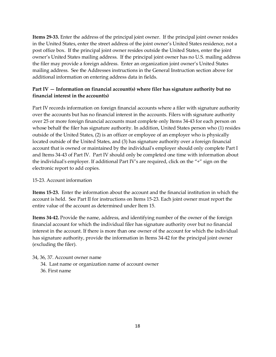**Items 29-33.** Enter the address of the principal joint owner. If the principal joint owner resides in the United States, enter the street address of the joint owner's United States residence, not a post office box. If the principal joint owner resides outside the United States, enter the joint owner's United States mailing address. If the principal joint owner has no U.S. mailing address the filer may provide a foreign address. Enter an organization joint owner's United States mailing address. See the Addresses instructions in the General Instruction section above for additional information on entering address data in fields.

### **Part IV — Information on financial account(s) where filer has signature authority but no financial interest in the account(s)**

Part IV records information on foreign financial accounts where a filer with signature authority over the accounts but has no financial interest in the accounts. Filers with signature authority over 25 or more foreign financial accounts must complete only Items 34-43 for each person on whose behalf the filer has signature authority. In addition, United States person who (1) resides outside of the United States, (2) is an officer or employee of an employer who is physically located outside of the United States, and (3) has signature authority over a foreign financial account that is owned or maintained by the individual's employer should only complete Part I and Items 34-43 of Part IV. Part IV should only be completed one time with information about the individual's employer. If additional Part IV's are required, click on the "+" sign on the electronic report to add copies.

#### 15-23. Account information

**Items 15-23.** Enter the information about the account and the financial institution in which the account is held. See Part II for instructions on Items 15-23. Each joint owner must report the entire value of the account as determined under Item 15.

**Items 34-42.** Provide the name, address, and identifying number of the owner of the foreign financial account for which the individual filer has signature authority over but no financial interest in the account. If there is more than one owner of the account for which the individual has signature authority, provide the information in Items 34-42 for the principal joint owner (excluding the filer).

34, 36, 37. Account owner name

- 34. Last name or organization name of account owner
- 36. First name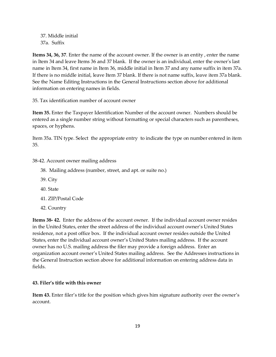37. Middle initial 37a. Suffix

**Items 34, 36, 37**. Enter the name of the account owner. If the owner is an entity , enter the name in Item 34 and leave Items 36 and 37 blank. If the owner is an individual, enter the owner's last name in Item 34, first name in Item 36, middle initial in Item 37 and any name suffix in item 37a. If there is no middle initial, leave Item 37 blank. If there is not name suffix, leave item 37a blank. See the Name Editing Instructions in the General Instructions section above for additional information on entering names in fields.

35. Tax identification number of account owner

**Item 35.** Enter the Taxpayer Identification Number of the account owner. Numbers should be entered as a single number string without formatting or special characters such as parentheses, spaces, or hyphens.

Item 35a. TIN type. Select the appropriate entry to indicate the type on number entered in item 35.

#### 38-42. Account owner mailing address

- 38. Mailing address (number, street, and apt. or suite no.)
- 39. City
- 40. State
- 41. ZIP/Postal Code
- 42. Country

**Items 38- 42.** Enter the address of the account owner. If the individual account owner resides in the United States, enter the street address of the individual account owner's United States residence, not a post office box. If the individual account owner resides outside the United States, enter the individual account owner's United States mailing address. If the account owner has no U.S. mailing address the filer may provide a foreign address. Enter an organization account owner's United States mailing address. See the Addresses instructions in the General Instruction section above for additional information on entering address data in fields.

#### **43. Filer's title with this owner**

**Item 43.** Enter filer's title for the position which gives him signature authority over the owner's account.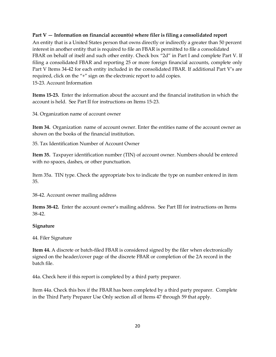#### **Part V — Information on financial account(s) where filer is filing a consolidated report**

An entity that is a United States person that owns directly or indirectly a greater than 50 percent interest in another entity that is required to file an FBAR is permitted to file a consolidated FBAR on behalf of itself and such other entity. Check box "2d" in Part I and complete Part V. If filing a consolidated FBAR and reporting 25 or more foreign financial accounts, complete only Part V Items 34-42 for each entity included in the consolidated FBAR. If additional Part V's are required, click on the "+" sign on the electronic report to add copies. 15-23. Account Information

**Items 15-23.** Enter the information about the account and the financial institution in which the account is held. See Part II for instructions on Items 15-23.

34. Organization name of account owner

**Item 34.** Organization name of account owner. Enter the entities name of the account owner as shown on the books of the financial institution.

35. Tax Identification Number of Account Owner

**Item 35.** Taxpayer identification number (TIN) of account owner. Numbers should be entered with no spaces, dashes, or other punctuation.

Item 35a. TIN type. Check the appropriate box to indicate the type on number entered in item 35.

38-42. Account owner mailing address

**Items 38-42.** Enter the account owner's mailing address. See Part III for instructions on Items 38-42.

#### **Signature**

44. Filer Signature

**Item 44.** A discrete or batch-filed FBAR is considered signed by the filer when electronically signed on the header/cover page of the discrete FBAR or completion of the 2A record in the batch file.

44a. Check here if this report is completed by a third party preparer.

Item 44a. Check this box if the FBAR has been completed by a third party preparer. Complete in the Third Party Preparer Use Only section all of Items 47 through 59 that apply.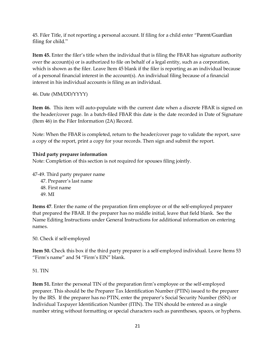45. Filer Title, if not reporting a personal account. If filing for a child enter "Parent/Guardian filing for child."

**Item 45.** Enter the filer's title when the individual that is filing the FBAR has signature authority over the account(s) or is authorized to file on behalf of a legal entity, such as a corporation, which is shown as the filer. Leave Item 45 blank if the filer is reporting as an individual because of a personal financial interest in the account(s). An individual filing because of a financial interest in his individual accounts is filing as an individual.

46. Date (MM/DD/YYYY)

**Item 46.** This item will auto-populate with the current date when a discrete FBAR is signed on the header/cover page. In a batch-filed FBAR this date is the date recorded in Date of Signature (Item 46) in the Filer Information (2A) Record.

Note: When the FBAR is completed, return to the header/cover page to validate the report, save a copy of the report, print a copy for your records. Then sign and submit the report.

#### **Third party preparer information**

Note: Completion of this section is not required for spouses filing jointly.

47-49. Third party preparer name

- 47. Preparer's last name
- 48. First name
- 49. MI

**Items 47**. Enter the name of the preparation firm employee or of the self-employed preparer that prepared the FBAR. If the preparer has no middle initial, leave that field blank. See the Name Editing Instructions under General Instructions for additional information on entering names.

50. Check if self-employed

**Item 50.** Check this box if the third party preparer is a self-employed individual. Leave Items 53 "Firm's name" and 54 "Firm's EIN" blank.

51. TIN

**Item 51.** Enter the personal TIN of the preparation firm's employee or the self-employed preparer. This should be the Preparer Tax Identification Number (PTIN) issued to the preparer by the IRS. If the preparer has no PTIN, enter the preparer's Social Security Number (SSN) or Individual Taxpayer Identification Number (ITIN). The TIN should be entered as a single number string without formatting or special characters such as parentheses, spaces, or hyphens.